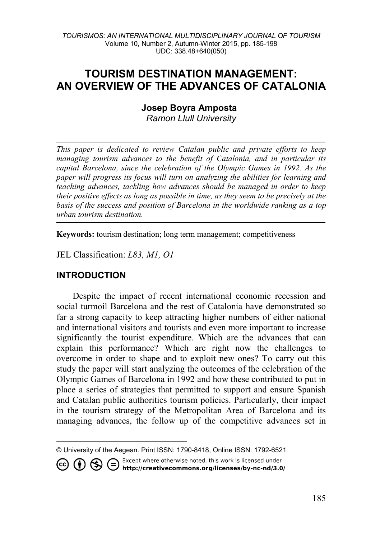# **TOURISM DESTINATION MANAGEMENT: AN OVERVIEW OF THE ADVANCES OF CATALONIA**

**Josep Boyra Amposta[1](#page-0-0)** *Ramon Llull University*

*This paper is dedicated to review Catalan public and private efforts to keep managing tourism advances to the benefit of Catalonia, and in particular its capital Barcelona, since the celebration of the Olympic Games in 1992. As the paper will progress its focus will turn on analyzing the abilities for learning and teaching advances, tackling how advances should be managed in order to keep their positive effects as long as possible in time, as they seem to be precisely at the basis of the success and position of Barcelona in the worldwide ranking as a top urban tourism destination.*

**Keywords:** tourism destination; long term management; competitiveness

JEL Classification: *L83, M1, O1*

### **INTRODUCTION**

Despite the impact of recent international economic recession and social turmoil Barcelona and the rest of Catalonia have demonstrated so far a strong capacity to keep attracting higher numbers of either national and international visitors and tourists and even more important to increase significantly the tourist expenditure. Which are the advances that can explain this performance? Which are right now the challenges to overcome in order to shape and to exploit new ones? To carry out this study the paper will start analyzing the outcomes of the celebration of the Olympic Games of Barcelona in 1992 and how these contributed to put in place a series of strategies that permitted to support and ensure Spanish and Catalan public authorities tourism policies. Particularly, their impact in the tourism strategy of the Metropolitan Area of Barcelona and its managing advances, the follow up of the competitive advances set in

 $\overline{a}$ © University of the Aegean. Print ISSN: 1790-8418, Online ISSN: 1792-6521

Except where otherwise noted, this work is licensed under

<span id="page-0-0"></span>CO CO S C Except where otherwise noted, this work is licensed under<br>http://creativecommons.org/licenses/by-nc-nd/3.0/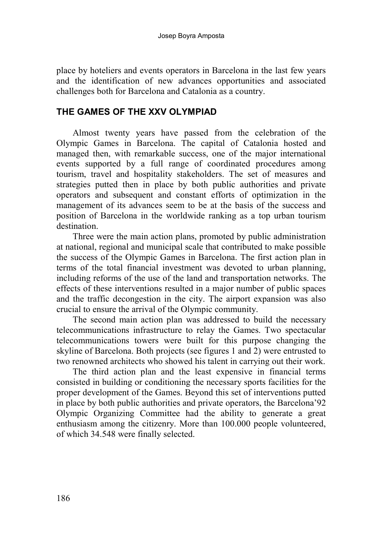place by hoteliers and events operators in Barcelona in the last few years and the identification of new advances opportunities and associated challenges both for Barcelona and Catalonia as a country.

## **THE GAMES OF THE XXV OLYMPIAD**

Almost twenty years have passed from the celebration of the Olympic Games in Barcelona. The capital of Catalonia hosted and managed then, with remarkable success, one of the major international events supported by a full range of coordinated procedures among tourism, travel and hospitality stakeholders. The set of measures and strategies putted then in place by both public authorities and private operators and subsequent and constant efforts of optimization in the management of its advances seem to be at the basis of the success and position of Barcelona in the worldwide ranking as a top urban tourism destination.

Three were the main action plans, promoted by public administration at national, regional and municipal scale that contributed to make possible the success of the Olympic Games in Barcelona. The first action plan in terms of the total financial investment was devoted to urban planning, including reforms of the use of the land and transportation networks. The effects of these interventions resulted in a major number of public spaces and the traffic decongestion in the city. The airport expansion was also crucial to ensure the arrival of the Olympic community.

The second main action plan was addressed to build the necessary telecommunications infrastructure to relay the Games. Two spectacular telecommunications towers were built for this purpose changing the skyline of Barcelona. Both projects (see figures 1 and 2) were entrusted to two renowned architects who showed his talent in carrying out their work.

The third action plan and the least expensive in financial terms consisted in building or conditioning the necessary sports facilities for the proper development of the Games. Beyond this set of interventions putted in place by both public authorities and private operators, the Barcelona'92 Olympic Organizing Committee had the ability to generate a great enthusiasm among the citizenry. More than 100.000 people volunteered, of which 34.548 were finally selected.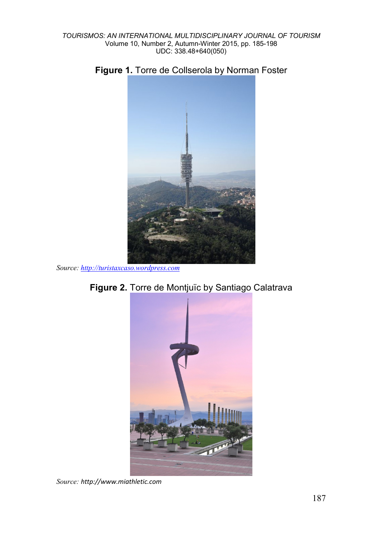



*Source[: http://turistaxcaso.wordpress.com](http://turistaxcaso.wordpress.com/)*





*Source: [http://www.miathletic.com](http://www.miathletic.com/)*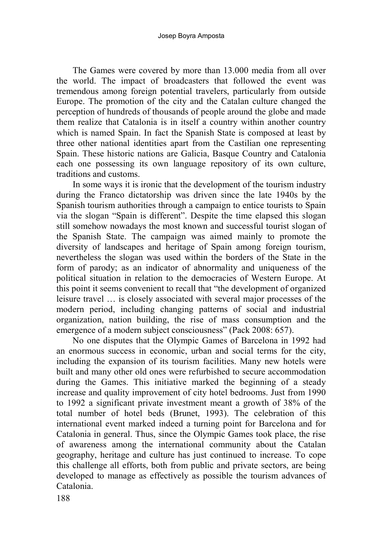The Games were covered by more than 13.000 media from all over the world. The impact of broadcasters that followed the event was tremendous among foreign potential travelers, particularly from outside Europe. The promotion of the city and the Catalan culture changed the perception of hundreds of thousands of people around the globe and made them realize that Catalonia is in itself a country within another country which is named Spain. In fact the Spanish State is composed at least by three other national identities apart from the Castilian one representing Spain. These historic nations are Galicia, Basque Country and Catalonia each one possessing its own language repository of its own culture, traditions and customs.

In some ways it is ironic that the development of the tourism industry during the Franco dictatorship was driven since the late 1940s by the Spanish tourism authorities through a campaign to entice tourists to Spain via the slogan "Spain is different". Despite the time elapsed this slogan still somehow nowadays the most known and successful tourist slogan of the Spanish State. The campaign was aimed mainly to promote the diversity of landscapes and heritage of Spain among foreign tourism, nevertheless the slogan was used within the borders of the State in the form of parody; as an indicator of abnormality and uniqueness of the political situation in relation to the democracies of Western Europe. At this point it seems convenient to recall that "the development of organized leisure travel … is closely associated with several major processes of the modern period, including changing patterns of social and industrial organization, nation building, the rise of mass consumption and the emergence of a modern subject consciousness" (Pack 2008: 657).

No one disputes that the Olympic Games of Barcelona in 1992 had an enormous success in economic, urban and social terms for the city, including the expansion of its tourism facilities. Many new hotels were built and many other old ones were refurbished to secure accommodation during the Games. This initiative marked the beginning of a steady increase and quality improvement of city hotel bedrooms. Just from 1990 to 1992 a significant private investment meant a growth of 38% of the total number of hotel beds (Brunet, 1993). The celebration of this international event marked indeed a turning point for Barcelona and for Catalonia in general. Thus, since the Olympic Games took place, the rise of awareness among the international community about the Catalan geography, heritage and culture has just continued to increase. To cope this challenge all efforts, both from public and private sectors, are being developed to manage as effectively as possible the tourism advances of Catalonia.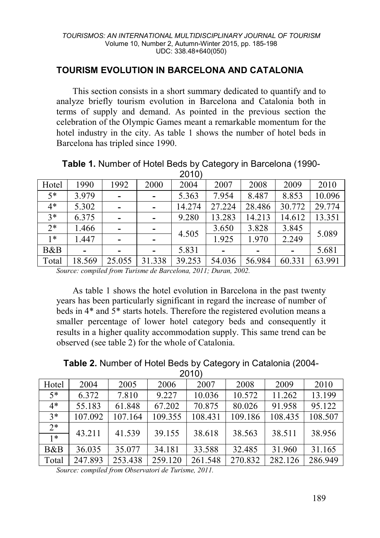# **TOURISM EVOLUTION IN BARCELONA AND CATALONIA**

This section consists in a short summary dedicated to quantify and to analyze briefly tourism evolution in Barcelona and Catalonia both in terms of supply and demand. As pointed in the previous section the celebration of the Olympic Games meant a remarkable momentum for the hotel industry in the city. As table 1 shows the number of hotel beds in Barcelona has tripled since 1990.

| Hotel | 1990   | 1992   | 2000                         | 2004   | 2007   | 2008   | 2009   | 2010   |
|-------|--------|--------|------------------------------|--------|--------|--------|--------|--------|
| $5*$  | 3.979  |        | $\qquad \qquad \blacksquare$ | 5.363  | 7.954  | 8.487  | 8.853  | 10.096 |
| $4*$  | 5.302  |        | $\qquad \qquad \blacksquare$ | 14.274 | 27.224 | 28.486 | 30.772 | 29.774 |
| $3*$  | 6.375  |        | $\overline{a}$               | 9.280  | 13.283 | 14.213 | 14.612 | 13.351 |
| $2*$  | 1.466  |        | $\overline{\phantom{a}}$     | 4.505  | 3.650  | 3.828  | 3.845  | 5.089  |
| $1*$  | 1.447  |        | -                            |        | 1.925  | 1.970  | 2.249  |        |
| B&B   |        |        | -                            | 5.831  |        |        |        | 5.681  |
| Total | 18.569 | 25.055 | 31.338                       | 39.253 | 54.036 | 56.984 | 60.331 | 63.991 |

**Table 1.** Number of Hotel Beds by Category in Barcelona (1990- 2010)

*Source: compiled from Turisme de Barcelona, 2011; Duran, 2002.*

As table 1 shows the hotel evolution in Barcelona in the past twenty years has been particularly significant in regard the increase of number of beds in 4\* and 5\* starts hotels. Therefore the registered evolution means a smaller percentage of lower hotel category beds and consequently it results in a higher quality accommodation supply. This same trend can be observed (see table 2) for the whole of Catalonia.

**Table 2.** Number of Hotel Beds by Category in Catalonia (2004-

|              |         |         |         | 2010)   |         |         |         |
|--------------|---------|---------|---------|---------|---------|---------|---------|
| Hotel        | 2004    | 2005    | 2006    | 2007    | 2008    | 2009    | 2010    |
| $5*$         | 6.372   | 7.810   | 9.227   | 10.036  | 10.572  | 11.262  | 13.199  |
| $4*$         | 55.183  | 61.848  | 67.202  | 70.875  | 80.026  | 91.958  | 95.122  |
| $3*$         | 107.092 | 107.164 | 109.355 | 108.431 | 109.186 | 108.435 | 108.507 |
| $2*$<br>$1*$ | 43.211  | 41.539  | 39.155  | 38.618  | 38.563  | 38.511  | 38.956  |
| B&B          | 36.035  | 35.077  | 34.181  | 33.588  | 32.485  | 31.960  | 31.165  |
| Total        | 247.893 | 253.438 | 259.120 | 261.548 | 270.832 | 282.126 | 286.949 |

*Source: compiled from Observatori de Turisme, 2011.*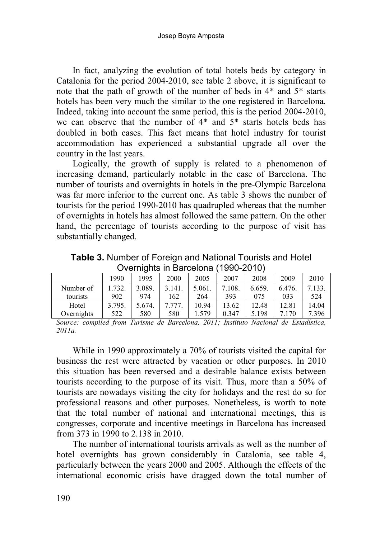In fact, analyzing the evolution of total hotels beds by category in Catalonia for the period 2004-2010, see table 2 above, it is significant to note that the path of growth of the number of beds in 4\* and 5\* starts hotels has been very much the similar to the one registered in Barcelona. Indeed, taking into account the same period, this is the period 2004-2010, we can observe that the number of 4\* and 5\* starts hotels beds has doubled in both cases. This fact means that hotel industry for tourist accommodation has experienced a substantial upgrade all over the country in the last years.

Logically, the growth of supply is related to a phenomenon of increasing demand, particularly notable in the case of Barcelona. The number of tourists and overnights in hotels in the pre-Olympic Barcelona was far more inferior to the current one. As table 3 shows the number of tourists for the period 1990-2010 has quadrupled whereas that the number of overnights in hotels has almost followed the same pattern. On the other hand, the percentage of tourists according to the purpose of visit has substantially changed.

**Table 3.** Number of Foreign and National Tourists and Hotel Overnights in Barcelona (1990-2010)

|            |        | . .    |        |        |        |        |        |        |
|------------|--------|--------|--------|--------|--------|--------|--------|--------|
|            | 1990   | 1995   | 2000   | 2005   | 2007   | 2008   | 2009   | 2010   |
| Number of  | .732.  | 3.089. | 3.141. | 5.061. | 7.108. | 6.659. | 6.476. | 7.133. |
| tourists   | 902    | 974    | 162    | 264    | 393    | 075    | 033    | 524    |
| Hotel      | 3.795. | 5.674. | 7.777. | 10.94  | 13.62  | 12.48  | 12.81  | 14.04  |
| Overnights | 522    | 580    | 580    | .579   | 0.347  | 5.198  | 7.170  | 7.396  |

*Source: compiled from Turisme de Barcelona, 2011; Instituto Nacional de Estadística, 2011a.* 

While in 1990 approximately a 70% of tourists visited the capital for business the rest were attracted by vacation or other purposes. In 2010 this situation has been reversed and a desirable balance exists between tourists according to the purpose of its visit. Thus, more than a 50% of tourists are nowadays visiting the city for holidays and the rest do so for professional reasons and other purposes. Nonetheless, is worth to note that the total number of national and international meetings, this is congresses, corporate and incentive meetings in Barcelona has increased from 373 in 1990 to 2.138 in 2010.

The number of international tourists arrivals as well as the number of hotel overnights has grown considerably in Catalonia, see table 4, particularly between the years 2000 and 2005. Although the effects of the international economic crisis have dragged down the total number of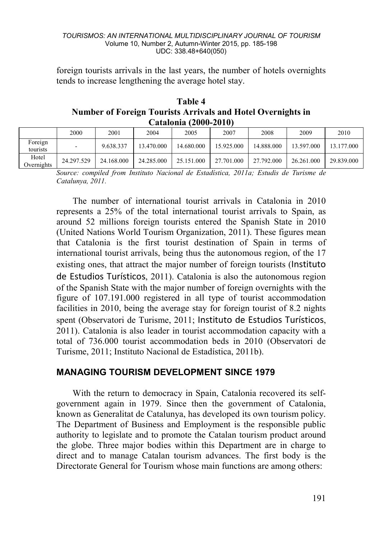foreign tourists arrivals in the last years, the number of hotels overnights tends to increase lengthening the average hotel stay.

**Table 4 Number of Foreign Tourists Arrivals and Hotel Overnights in Catalonia (2000-2010)**

|                     | 2000       | 2001       | 2004       | 2005       | 2007       | 2008       | 2009       | 2010       |
|---------------------|------------|------------|------------|------------|------------|------------|------------|------------|
| Foreign<br>tourists | -          | 9.638.337  | 13.470.000 | 14.680.000 | 15.925.000 | 14.888.000 | 13.597.000 | 13.177.000 |
| Hotel<br>Overnights | 24.297.529 | 24.168.000 | 24.285.000 | 25.151.000 | 27.701.000 | 27.792.000 | 26.261.000 | 29.839.000 |

*Source: compiled from Instituto Nacional de Estadística, 2011a; Estudis de Turisme de Catalunya, 2011.* 

The number of international tourist arrivals in Catalonia in 2010 represents a 25% of the total international tourist arrivals to Spain, as around 52 millions foreign tourists entered the Spanish State in 2010 (United Nations World Tourism Organization, 2011). These figures mean that Catalonia is the first tourist destination of Spain in terms of international tourist arrivals, being thus the autonomous region, of the 17 existing ones, that attract the major number of foreign tourists ([Instituto](http://www.iet.tourspain.es/)  [de Estudios Turísticos](http://www.iet.tourspain.es/), 2011). Catalonia is also the autonomous region of the Spanish State with the major number of foreign overnights with the figure of 107.191.000 registered in all type of tourist accommodation facilities in 2010, being the average stay for foreign tourist of 8.2 nights spent (Observatori de Turisme, 2011; [Instituto de Estudios Turísticos](http://www.iet.tourspain.es/), 2011). Catalonia is also leader in tourist accommodation capacity with a total of 736.000 tourist accommodation beds in 2010 (Observatori de Turisme, 2011; Instituto Nacional de Estadística, 2011b).

### **MANAGING TOURISM DEVELOPMENT SINCE 1979**

With the return to democracy in Spain, Catalonia recovered its selfgovernment again in 1979. Since then the government of Catalonia, known as Generalitat de Catalunya, has developed its own tourism policy. The Department of Business and Employment is the responsible public authority to legislate and to promote the Catalan tourism product around the globe. Three major bodies within this Department are in charge to direct and to manage Catalan tourism advances. The first body is the Directorate General for Tourism whose main functions are among others: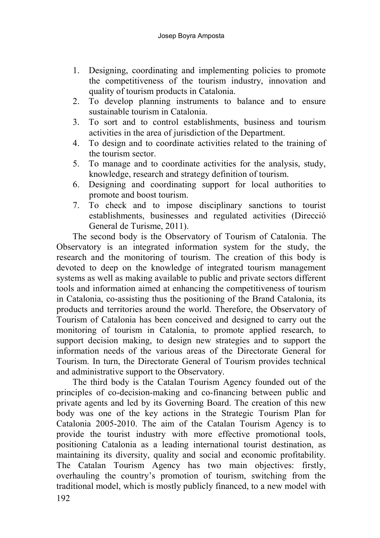- 1. Designing, coordinating and implementing policies to promote the competitiveness of the tourism industry, innovation and quality of tourism products in Catalonia.
- 2. To develop planning instruments to balance and to ensure sustainable tourism in Catalonia.
- 3. To sort and to control establishments, business and tourism activities in the area of jurisdiction of the Department.
- 4. To design and to coordinate activities related to the training of the tourism sector.
- 5. To manage and to coordinate activities for the analysis, study, knowledge, research and strategy definition of tourism.
- 6. Designing and coordinating support for local authorities to promote and boost tourism.
- 7. To check and to impose disciplinary sanctions to tourist establishments, businesses and regulated activities (Direcció General de Turisme, 2011).

The second body is the Observatory of Tourism of Catalonia. The Observatory is an integrated information system for the study, the research and the monitoring of tourism. The creation of this body is devoted to deep on the knowledge of integrated tourism management systems as well as making available to public and private sectors different tools and information aimed at enhancing the competitiveness of tourism in Catalonia, co-assisting thus the positioning of the Brand Catalonia, its products and territories around the world. Therefore, the Observatory of Tourism of Catalonia has been conceived and designed to carry out the monitoring of tourism in Catalonia, to promote applied research, to support decision making, to design new strategies and to support the information needs of the various areas of the Directorate General for Tourism. In turn, the Directorate General of Tourism provides technical and administrative support to the Observatory.

The third body is the Catalan Tourism Agency founded out of the principles of co-decision-making and co-financing between public and private agents and led by its Governing Board. The creation of this new body was one of the key actions in the Strategic Tourism Plan for Catalonia 2005-2010. The aim of the Catalan Tourism Agency is to provide the tourist industry with more effective promotional tools, positioning Catalonia as a leading international tourist destination, as maintaining its diversity, quality and social and economic profitability. The Catalan Tourism Agency has two main objectives: firstly, overhauling the country's promotion of tourism, switching from the traditional model, which is mostly publicly financed, to a new model with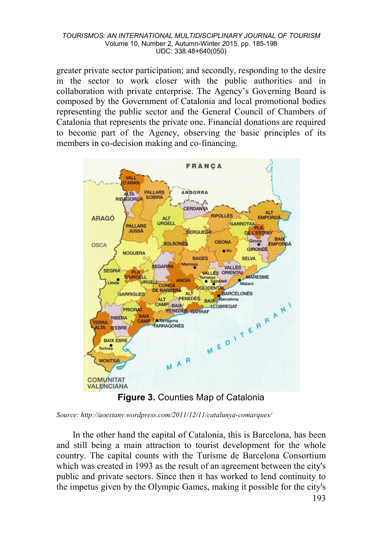greater private sector participation; and secondly, responding to the desire in the sector to work closer with the public authorities and in collaboration with private enterprise. The Agency's Governing Board is composed by the Government of Catalonia and local promotional bodies representing the public sector and the General Council of Chambers of Catalonia that represents the private one. Financial donations are required to become part of the Agency, observing the basic principles of its members in co-decision making and co-financing.



**Figure 3.** Counties Map of Catalonia

*Source: http://aoestany.wordpress.com/2011/12/11/catalunya-comarques/*

In the other hand the capital of Catalonia, this is Barcelona, has been and still being a main attraction to tourist development for the whole country. The capital counts with the [Turisme de Barcelona Consortium](http://www.barcelonaturisme.com/) which was created in 1993 as the result of an agreement between the city's public and private sectors. Since then it has worked to lend continuity to the impetus given by the Olympic Games, making it possible for the city's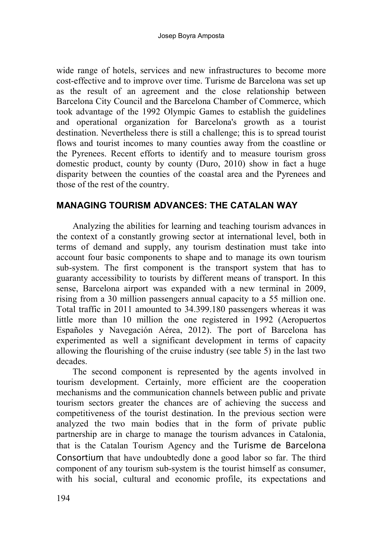wide range of hotels, services and new infrastructures to become more cost-effective and to improve over time. Turisme de Barcelona was set up as the result of an agreement and the close relationship between [Barcelona City Council](http://www.bcn.cat/) and the [Barcelona Chamber of Commerce,](http://www.cambrabcn.org/web/cambra/inicio) which took advantage of the 1992 Olympic Games to establish the guidelines and operational organization for Barcelona's growth as a tourist destination. Nevertheless there is still a challenge; this is to spread tourist flows and tourist incomes to many counties away from the coastline or the Pyrenees. Recent efforts to identify and to measure tourism gross domestic product, county by county (Duro, 2010) show in fact a huge disparity between the counties of the coastal area and the Pyrenees and those of the rest of the country.

### **MANAGING TOURISM ADVANCES: THE CATALAN WAY**

Analyzing the abilities for learning and teaching tourism advances in the context of a constantly growing sector at international level, both in terms of demand and supply, any tourism destination must take into account four basic components to shape and to manage its own tourism sub-system. The first component is the transport system that has to guaranty accessibility to tourists by different means of transport. In this sense, Barcelona airport was expanded with a new terminal in 2009, rising from a 30 million passengers annual capacity to a 55 million one. Total traffic in 2011 amounted to 34.399.180 passengers whereas it was little more than 10 million the one registered in 1992 (Aeropuertos Españoles y Navegación Aérea, 2012). The port of Barcelona has experimented as well a significant development in terms of capacity allowing the flourishing of the cruise industry (see table 5) in the last two decades.

The second component is represented by the agents involved in tourism development. Certainly, more efficient are the cooperation mechanisms and the communication channels between public and private tourism sectors greater the chances are of achieving the success and competitiveness of the tourist destination. In the previous section were analyzed the two main bodies that in the form of private public partnership are in charge to manage the tourism advances in Catalonia, that is the Catalan Tourism Agency and the [Turisme de Barcelona](http://www.barcelonaturisme.com/)  [Consortium](http://www.barcelonaturisme.com/) that have undoubtedly done a good labor so far. The third component of any tourism sub-system is the tourist himself as consumer, with his social, cultural and economic profile, its expectations and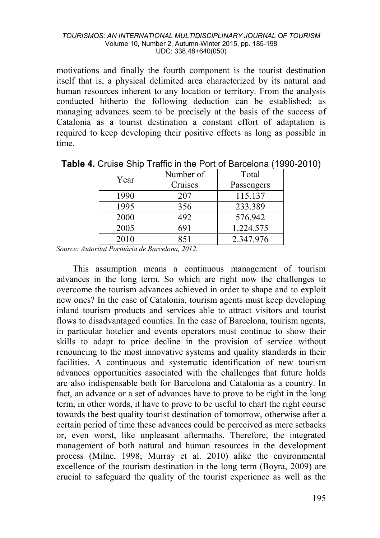motivations and finally the fourth component is the tourist destination itself that is, a physical delimited area characterized by its natural and human resources inherent to any location or territory. From the analysis conducted hitherto the following deduction can be established; as managing advances seem to be precisely at the basis of the success of Catalonia as a tourist destination a constant effort of adaptation is required to keep developing their positive effects as long as possible in time.

| Year | Number of | Total      |  |  |
|------|-----------|------------|--|--|
|      | Cruises   | Passengers |  |  |
| 1990 | 207       | 115.137    |  |  |
| 1995 | 356       | 233.389    |  |  |
| 2000 | 492       | 576.942    |  |  |
| 2005 |           | 1.224.575  |  |  |
| 2010 | 851       | 2.347.976  |  |  |

**Table 4.** Cruise Ship Traffic in the Port of Barcelona (1990-2010)

*Source: Autoritat Portuària de Barcelona, 2012.* 

This assumption means a continuous management of tourism advances in the long term. So which are right now the challenges to overcome the tourism advances achieved in order to shape and to exploit new ones? In the case of Catalonia, tourism agents must keep developing inland tourism products and services able to attract visitors and tourist flows to disadvantaged counties. In the case of Barcelona, tourism agents, in particular hotelier and events operators must continue to show their skills to adapt to price decline in the provision of service without renouncing to the most innovative systems and quality standards in their facilities. A continuous and systematic identification of new tourism advances opportunities associated with the challenges that future holds are also indispensable both for Barcelona and Catalonia as a country. In fact, an advance or a set of advances have to prove to be right in the long term, in other words, it have to prove to be useful to chart the right course towards the best quality tourist destination of tomorrow, otherwise after a certain period of time these advances could be perceived as mere setbacks or, even worst, like unpleasant aftermaths. Therefore, the integrated management of both natural and human resources in the development process (Milne, 1998; Murray et al. 2010) alike the environmental excellence of the tourism destination in the long term (Boyra, 2009) are crucial to safeguard the quality of the tourist experience as well as the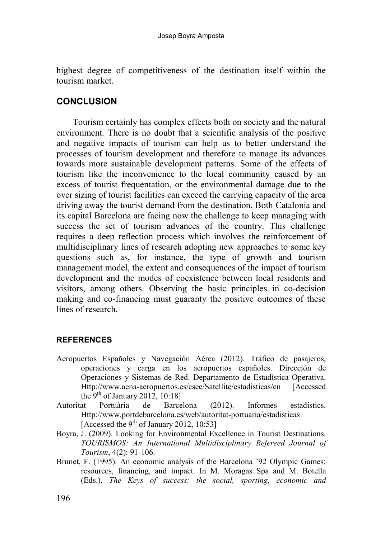highest degree of competitiveness of the destination itself within the tourism market.

### **CONCLUSION**

Tourism certainly has complex effects both on society and the natural environment. There is no doubt that a scientific analysis of the positive and negative impacts of tourism can help us to better understand the processes of tourism development and therefore to manage its advances towards more sustainable development patterns. Some of the effects of tourism like the inconvenience to the local community caused by an excess of tourist frequentation, or the environmental damage due to the over sizing of tourist facilities can exceed the carrying capacity of the area driving away the tourist demand from the destination. Both Catalonia and its capital Barcelona are facing now the challenge to keep managing with success the set of tourism advances of the country. This challenge requires a deep reflection process which involves the reinforcement of multidisciplinary lines of research adopting new approaches to some key questions such as, for instance, the type of growth and tourism management model, the extent and consequences of the impact of tourism development and the modes of coexistence between local residents and visitors, among others. Observing the basic principles in co-decision making and co-financing must guaranty the positive outcomes of these lines of research.

### **REFERENCES**

- Aeropuertos Españoles y Navegación Aérea (2012). Tráfico de pasajeros, operaciones y carga en los aeropuertos españoles. Dirección de Operaciones y Sistemas de Red. Departamento de Estadística Operativa. Http://www.aena-aeropuertos.es/csee/Satellite/estadisticas/en [Accessed the  $9^{th}$  of January 2012, 10:18]<br>Autoritat Portuària de Barce
- Autoritat Portuària de Barcelona (2012). Informes estadístics. Http://www.portdebarcelona.es/web/autoritat-portuaria/estadisticas [Accessed the 9<sup>th</sup> of January 2012, 10:53]
- Boyra, J. (2009). Looking for Environmental Excellence in Tourist Destinations. *TOURISMOS: An International Multidisciplinary Refereed Journal of Tourism*, 4(2): 91-106.
- Brunet, F. (1995). An economic analysis of the Barcelona '92 Olympic Games: resources, financing, and impact. In M. Moragas Spa and M. Botella (Eds.), *The Keys of success: the social, sporting, economic and*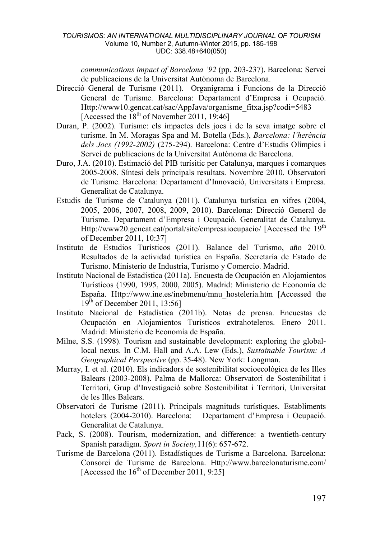*communications impact of Barcelona '92* (pp. 203-237). Barcelona: Servei de publicacions de la Universitat Autònoma de Barcelona.

- Direcció General de Turisme (2011). Organigrama i Funcions de la Direcció General de Turisme. Barcelona: Departament d'Empresa i Ocupació. Http://www10.gencat.cat/sac/AppJava/organisme\_fitxa.jsp?codi=5483 [Accessed the  $18^{th}$  of November 2011, 19:46]
- Duran, P. (2002). Turisme: els impactes dels jocs i de la seva imatge sobre el turisme. In M. Moragas Spa and M. Botella (Eds.), *Barcelona: l'herència dels Jocs (1992-2002)* (275-294). Barcelona: Centre d'Estudis Olímpics i Servei de publicacions de la Universitat Autònoma de Barcelona.
- Duro, J.A. (2010). Estimació del PIB turísitic per Catalunya, marques i comarques 2005-2008. Síntesi dels principals resultats. Novembre 2010. Observatori de Turisme. Barcelona: Departament d'Innovació, Universitats i Empresa. Generalitat de Catalunya.
- Estudis de Turisme de Catalunya (2011). Catalunya turística en xifres (2004, 2005, 2006, 2007, 2008, 2009, 2010). Barcelona: Direcció General de Turisme. Departament d'Empresa i Ocupació. Generalitat de Catalunya. Http://www20.gencat.cat/portal/site/empresaiocupacio/ [Accessed the 19<sup>th</sup> of December 2011, 10:37]
- [Instituto de Estudios Turísticos](http://www.iet.tourspain.es/) (2011). Balance del Turismo, año 2010. Resultados de la actividad turística en España. Secretaría de Estado de Turismo. Ministerio de Industria, Turismo y Comercio. Madrid.
- Instituto Nacional de Estadística (2011a). Encuesta de Ocupación en Alojamientos Turísticos (1990, 1995, 2000, 2005). Madrid: Ministerio de Economía de España. Http://www.ine.es/inebmenu/mnu\_hosteleria.htm [Accessed the  $19^{th}$  of December 2011, 13:56]
- Instituto Nacional de Estadística (2011b). Notas de prensa. Encuestas de Ocupación en Alojamientos Turísticos extrahoteleros. Enero 2011. Madrid: Ministerio de Economía de España.
- Milne, S.S. (1998). Tourism and sustainable development: exploring the globallocal nexus. In C.M. Hall and A.A. Lew (Eds.), *Sustainable Tourism: A Geographical Perspective* (pp. 35-48). New York: Longman.
- Murray, I. et al. (2010). Els indicadors de sostenibilitat socioecològica de les Illes Balears (2003-2008). Palma de Mallorca: Observatori de Sostenibilitat i Territori, Grup d'Investigació sobre Sostenibilitat i Territori, Universitat de les Illes Balears.
- Observatori de Turisme (2011). Principals magnituds turístiques. Establiments hotelers (2004-2010). Barcelona: Departament d'Empresa i Ocupació. Generalitat de Catalunya.
- Pack, S. (2008). Tourism, modernization, and difference: a twentieth-century Spanish paradigm. *Sport in Society,*11(6): 657-672.
- Turisme de Barcelona (2011). Estadístiques de Turisme a Barcelona. Barcelona: Consorci de Turisme de Barcelona. Http://www.barcelonaturisme.com/ [Accessed the  $16^{th}$  of December 2011, 9:25]